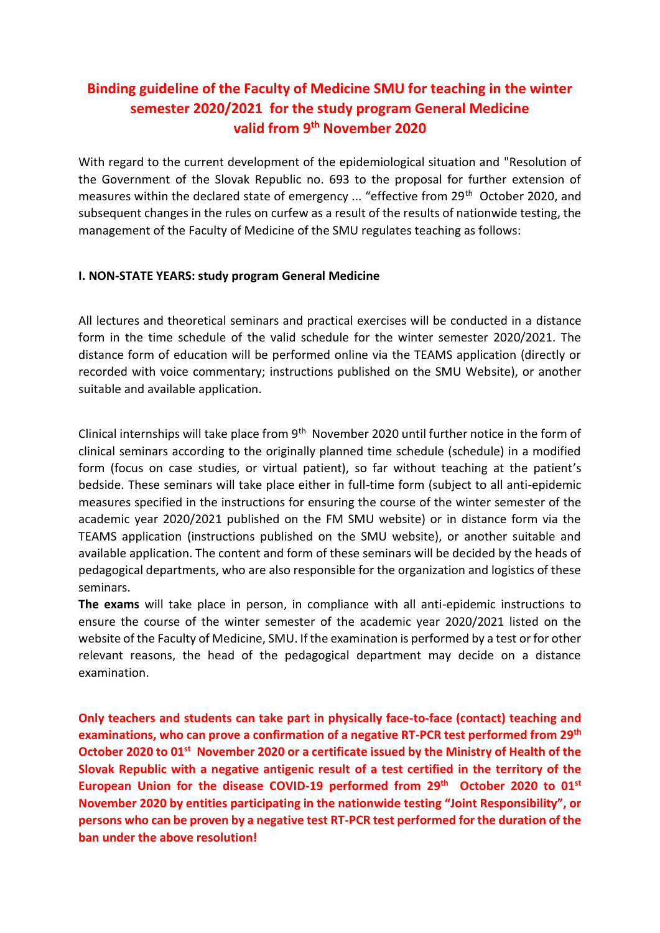## **Binding guideline of the Faculty of Medicine SMU for teaching in the winter semester 2020/2021 for the study program General Medicine valid from 9th November 2020**

With regard to the current development of the epidemiological situation and "Resolution of the Government of the Slovak Republic no. 693 to the proposal for further extension of measures within the declared state of emergency ... "effective from 29<sup>th</sup> October 2020, and subsequent changes in the rules on curfew as a result of the results of nationwide testing, the management of the Faculty of Medicine of the SMU regulates teaching as follows:

## **I. NON-STATE YEARS: study program General Medicine**

All lectures and theoretical seminars and practical exercises will be conducted in a distance form in the time schedule of the valid schedule for the winter semester 2020/2021. The distance form of education will be performed online via the TEAMS application (directly or recorded with voice commentary; instructions published on the SMU Website), or another suitable and available application.

Clinical internships will take place from 9<sup>th</sup> November 2020 until further notice in the form of clinical seminars according to the originally planned time schedule (schedule) in a modified form (focus on case studies, or virtual patient), so far without teaching at the patient's bedside. These seminars will take place either in full-time form (subject to all anti-epidemic measures specified in the instructions for ensuring the course of the winter semester of the academic year 2020/2021 published on the FM SMU website) or in distance form via the TEAMS application (instructions published on the SMU website), or another suitable and available application. The content and form of these seminars will be decided by the heads of pedagogical departments, who are also responsible for the organization and logistics of these seminars.

**The exams** will take place in person, in compliance with all anti-epidemic instructions to ensure the course of the winter semester of the academic year 2020/2021 listed on the website of the Faculty of Medicine, SMU. If the examination is performed by a test or for other relevant reasons, the head of the pedagogical department may decide on a distance examination.

**Only teachers and students can take part in physically face-to-face (contact) teaching and examinations, who can prove a confirmation of a negative RT-PCR test performed from 29 th October 2020 to 01st November 2020 or a certificate issued by the Ministry of Health of the Slovak Republic with a negative antigenic result of a test certified in the territory of the**  European Union for the disease COVID-19 performed from 29<sup>th</sup> October 2020 to 01<sup>st</sup> **November 2020 by entities participating in the nationwide testing "Joint Responsibility", or persons who can be proven by a negative test RT-PCR test performed for the duration of the ban under the above resolution!**